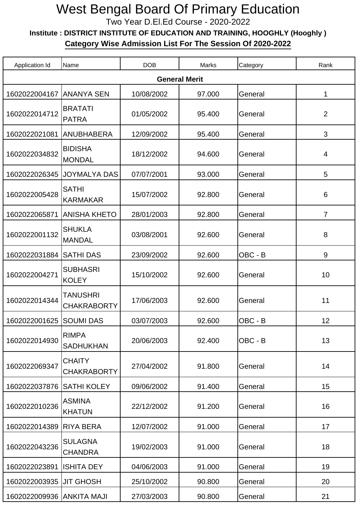## West Bengal Board Of Primary Education

Two Year D.El.Ed Course - 2020-2022

**Institute : DISTRICT INSTITUTE OF EDUCATION AND TRAINING, HOOGHLY (Hooghly ) Category Wise Admission List For The Session Of 2020-2022**

| Application Id            | Name                                | <b>DOB</b> | Marks  | Category | Rank           |  |
|---------------------------|-------------------------------------|------------|--------|----------|----------------|--|
| <b>General Merit</b>      |                                     |            |        |          |                |  |
| 1602022004167             | <b>ANANYA SEN</b>                   | 10/08/2002 | 97.000 | General  | 1              |  |
| 1602022014712             | <b>BRATATI</b><br><b>PATRA</b>      | 01/05/2002 | 95.400 | General  | $\overline{2}$ |  |
| 1602022021081             | <b>ANUBHABERA</b>                   | 12/09/2002 | 95.400 | General  | 3              |  |
| 1602022034832             | <b>BIDISHA</b><br><b>MONDAL</b>     | 18/12/2002 | 94.600 | General  | $\overline{4}$ |  |
| 1602022026345             | <b>JOYMALYA DAS</b>                 | 07/07/2001 | 93.000 | General  | 5              |  |
| 1602022005428             | <b>SATHI</b><br><b>KARMAKAR</b>     | 15/07/2002 | 92.800 | General  | 6              |  |
| 1602022065871             | <b>ANISHA KHETO</b>                 | 28/01/2003 | 92.800 | General  | 7              |  |
| 1602022001132             | <b>SHUKLA</b><br><b>MANDAL</b>      | 03/08/2001 | 92.600 | General  | 8              |  |
| 1602022031884             | <b>SATHI DAS</b>                    | 23/09/2002 | 92.600 | OBC - B  | 9              |  |
| 1602022004271             | <b>SUBHASRI</b><br><b>KOLEY</b>     | 15/10/2002 | 92.600 | General  | 10             |  |
| 1602022014344             | TANUSHRI<br><b>CHAKRABORTY</b>      | 17/06/2003 | 92.600 | General  | 11             |  |
| 1602022001625 SOUMI DAS   |                                     | 03/07/2003 | 92.600 | OBC - B  | 12             |  |
| 1602022014930             | <b>RIMPA</b><br><b>SADHUKHAN</b>    | 20/06/2003 | 92.400 | OBC - B  | 13             |  |
| 1602022069347             | <b>CHAITY</b><br><b>CHAKRABORTY</b> | 27/04/2002 | 91.800 | General  | 14             |  |
| 1602022037876 SATHI KOLEY |                                     | 09/06/2002 | 91.400 | General  | 15             |  |
| 1602022010236             | <b>ASMINA</b><br><b>KHATUN</b>      | 22/12/2002 | 91.200 | General  | 16             |  |
| 1602022014389             | <b>RIYA BERA</b>                    | 12/07/2002 | 91.000 | General  | 17             |  |
| 1602022043236             | <b>SULAGNA</b><br><b>CHANDRA</b>    | 19/02/2003 | 91.000 | General  | 18             |  |
| 1602022023891             | <b>ISHITA DEY</b>                   | 04/06/2003 | 91.000 | General  | 19             |  |
| 1602022003935 JJIT GHOSH  |                                     | 25/10/2002 | 90.800 | General  | 20             |  |
| 1602022009936 ANKITA MAJI |                                     | 27/03/2003 | 90.800 | General  | 21             |  |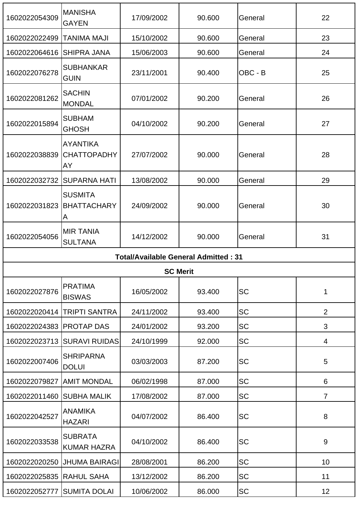| 1602022054309             | <b>MANISHA</b><br><b>GAYEN</b>              | 17/09/2002                                  | 90.600 | General   | 22             |
|---------------------------|---------------------------------------------|---------------------------------------------|--------|-----------|----------------|
| 1602022022499             | <b>TANIMA MAJI</b>                          | 15/10/2002                                  | 90.600 | General   | 23             |
| 1602022064616             | <b>SHIPRA JANA</b>                          | 15/06/2003                                  | 90.600 | General   | 24             |
| 1602022076278             | <b>SUBHANKAR</b><br><b>GUIN</b>             | 23/11/2001                                  | 90.400 | OBC - B   | 25             |
| 1602022081262             | <b>SACHIN</b><br><b>MONDAL</b>              | 07/01/2002                                  | 90.200 | General   | 26             |
| 1602022015894             | <b>SUBHAM</b><br><b>GHOSH</b>               | 04/10/2002                                  | 90.200 | General   | 27             |
| 1602022038839             | <b>AYANTIKA</b><br><b>CHATTOPADHY</b><br>AY | 27/07/2002                                  | 90.000 | General   | 28             |
| 1602022032732             | <b>ISUPARNA HATI</b>                        | 13/08/2002                                  | 90.000 | General   | 29             |
| 1602022031823             | <b>SUSMITA</b><br><b>BHATTACHARY</b><br>A   | 24/09/2002                                  | 90.000 | General   | 30             |
| 1602022054056             | <b>MIR TANIA</b><br><b>SULTANA</b>          | 14/12/2002                                  | 90.000 | General   | 31             |
|                           |                                             |                                             |        |           |                |
|                           |                                             | <b>Total/Available General Admitted: 31</b> |        |           |                |
|                           |                                             | <b>SC Merit</b>                             |        |           |                |
| 1602022027876             | <b>PRATIMA</b><br><b>BISWAS</b>             | 16/05/2002                                  | 93.400 | <b>SC</b> | 1              |
| 1602022020414             | <b>TRIPTI SANTRA</b>                        | 24/11/2002                                  | 93.400 | <b>SC</b> | $\overline{2}$ |
| 1602022024383             | <b>IPROTAP DAS</b>                          | 24/01/2002                                  | 93.200 | <b>SC</b> | 3              |
| 1602022023713             | <b>SURAVI RUIDAS</b>                        | 24/10/1999                                  | 92.000 | <b>SC</b> | 4              |
| 1602022007406             | <b>SHRIPARNA</b><br><b>DOLUI</b>            | 03/03/2003                                  | 87.200 | <b>SC</b> | 5              |
| 1602022079827 AMIT MONDAL |                                             | 06/02/1998                                  | 87.000 | <b>SC</b> | 6              |
| 1602022011460             | <b>SUBHA MALIK</b>                          | 17/08/2002                                  | 87.000 | <b>SC</b> | $\overline{7}$ |
| 1602022042527             | <b>ANAMIKA</b><br><b>HAZARI</b>             | 04/07/2002                                  | 86.400 | <b>SC</b> | 8              |
| 1602022033538             | <b>SUBRATA</b><br><b>KUMAR HAZRA</b>        | 04/10/2002                                  | 86.400 | <b>SC</b> | $9\,$          |
| 1602022020250             | <b>JHUMA BAIRAGI</b>                        | 28/08/2001                                  | 86.200 | <b>SC</b> | 10             |
| 1602022025835             | <b>RAHUL SAHA</b>                           | 13/12/2002                                  | 86.200 | <b>SC</b> | 11             |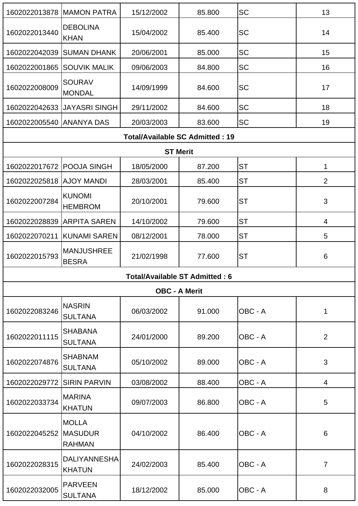| 1602022013878                   | <b>IMAMON PATRA</b>                             | 15/12/2002                             | 85.800          | <b>SC</b> | 13              |
|---------------------------------|-------------------------------------------------|----------------------------------------|-----------------|-----------|-----------------|
| 1602022013440                   | <b>DEBOLINA</b><br><b>KHAN</b>                  | 15/04/2002                             | 85.400          | <b>SC</b> | 14              |
| 1602022042039                   | <b>SUMAN DHANK</b>                              | 20/06/2001                             | 85.000          | <b>SC</b> | 15              |
| 1602022001865                   | <b>SOUVIK MALIK</b>                             | 09/06/2003                             | 84.800          | <b>SC</b> | 16              |
| 1602022008009                   | <b>SOURAV</b><br><b>MONDAL</b>                  | 14/09/1999                             | 84.600          | <b>SC</b> | 17              |
|                                 | 1602022042633 JJAYASRI SINGH                    | 29/11/2002                             | 84.600          | <b>SC</b> | 18              |
| 1602022005540 ANANYA DAS        |                                                 | 20/03/2003                             | 83.600          | <b>SC</b> | 19              |
|                                 |                                                 | <b>Total/Available SC Admitted: 19</b> |                 |           |                 |
|                                 |                                                 |                                        | <b>ST Merit</b> |           |                 |
| 1602022017672 POOJA SINGH       |                                                 | 18/05/2000                             | 87.200          | <b>ST</b> | 1               |
| 1602022025818 AJOY MANDI        |                                                 | 28/03/2001                             | 85.400          | <b>ST</b> | 2               |
| 1602022007284                   | <b>KUNOMI</b><br><b>HEMBROM</b>                 | 20/10/2001                             | 79.600          | <b>ST</b> | 3               |
| 1602022028839                   | <b>ARPITA SAREN</b>                             | 14/10/2002                             | 79.600          | <b>ST</b> | $\overline{4}$  |
| 1602022070211                   | KUNAMI SAREN                                    | 08/12/2001                             | 78.000          | <b>ST</b> | 5               |
| 1602022015793                   | <b>MANJUSHREE</b><br><b>BESRA</b>               | 21/02/1998                             | 77.600          | <b>ST</b> | $6\phantom{1}6$ |
| Total/Available ST Admitted : 6 |                                                 |                                        |                 |           |                 |
| <b>OBC - A Merit</b>            |                                                 |                                        |                 |           |                 |
| 1602022083246                   | <b>NASRIN</b><br><b>SULTANA</b>                 | 06/03/2002                             | 91.000          | OBC - A   | 1               |
| 1602022011115                   | <b>SHABANA</b><br><b>SULTANA</b>                | 24/01/2000                             | 89.200          | OBC - A   | $\overline{2}$  |
| 1602022074876                   | <b>SHABNAM</b><br><b>SULTANA</b>                | 05/10/2002                             | 89.000          | OBC - A   | 3               |
| 1602022029772                   | <b>SIRIN PARVIN</b>                             | 03/08/2002                             | 88.400          | OBC - A   | $\overline{4}$  |
| 1602022033734                   | <b>MARINA</b><br><b>KHATUN</b>                  | 09/07/2003                             | 86.800          | OBC - A   | 5               |
| 1602022045252                   | <b>MOLLA</b><br><b>MASUDUR</b><br><b>RAHMAN</b> | 04/10/2002                             | 86.400          | OBC - A   | 6               |
| 1602022028315                   | <b>DALIYANNESHA</b><br><b>KHATUN</b>            | 24/02/2003                             | 85.400          | OBC - A   | $\overline{7}$  |
| 1602022032005                   | <b>PARVEEN</b><br><b>SULTANA</b>                | 18/12/2002                             | 85.000          | OBC - A   | 8               |